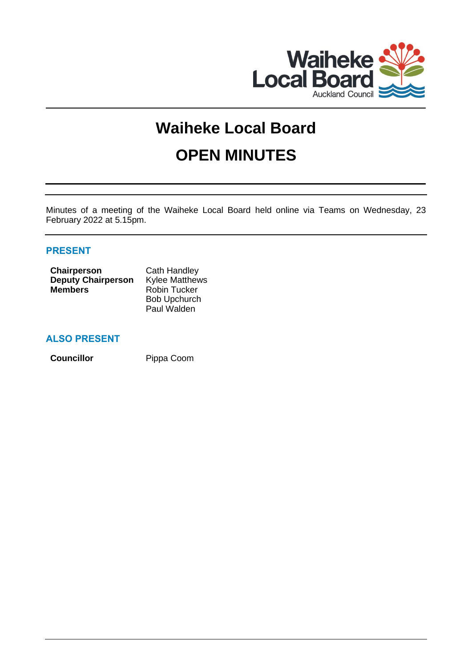

# **Waiheke Local Board OPEN MINUTES**

Minutes of a meeting of the Waiheke Local Board held online via Teams on Wednesday, 23 February 2022 at 5.15pm.

# **PRESENT**

| <b>Chairperson</b>        | Cath Handley          |
|---------------------------|-----------------------|
| <b>Deputy Chairperson</b> | <b>Kylee Matthews</b> |
| <b>Members</b>            | <b>Robin Tucker</b>   |
|                           | <b>Bob Upchurch</b>   |
|                           | Paul Walden           |

# **ALSO PRESENT**

**Councillor** Pippa Coom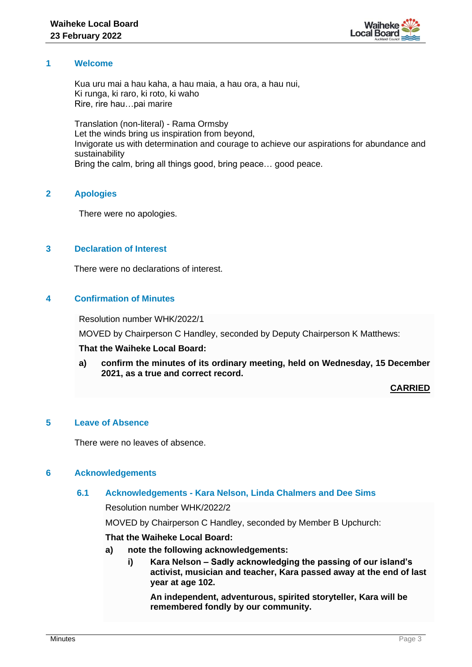

# **1 Welcome**

Kua uru mai a hau kaha, a hau maia, a hau ora, a hau nui, Ki runga, ki raro, ki roto, ki waho Rire, rire hau…pai marire

Translation (non-literal) - Rama Ormsby Let the winds bring us inspiration from beyond, Invigorate us with determination and courage to achieve our aspirations for abundance and sustainability Bring the calm, bring all things good, bring peace… good peace.

# **2 Apologies**

There were no apologies.

## **3 Declaration of Interest**

There were no declarations of interest.

# **4 Confirmation of Minutes**

Resolution number WHK/2022/1

MOVED by Chairperson C Handley, seconded by Deputy Chairperson K Matthews:

#### **That the Waiheke Local Board:**

**a) confirm the minutes of its ordinary meeting, held on Wednesday, 15 December 2021, as a true and correct record.**

**CARRIED**

# **5 Leave of Absence**

There were no leaves of absence.

#### **6 Acknowledgements**

#### **6.1 Acknowledgements - Kara Nelson, Linda Chalmers and Dee Sims**

Resolution number WHK/2022/2

MOVED by Chairperson C Handley, seconded by Member B Upchurch:

# **That the Waiheke Local Board:**

- **a) note the following acknowledgements:**
	- **i) Kara Nelson – Sadly acknowledging the passing of our island's activist, musician and teacher, Kara passed away at the end of last year at age 102.**

**An independent, adventurous, spirited storyteller, Kara will be remembered fondly by our community.**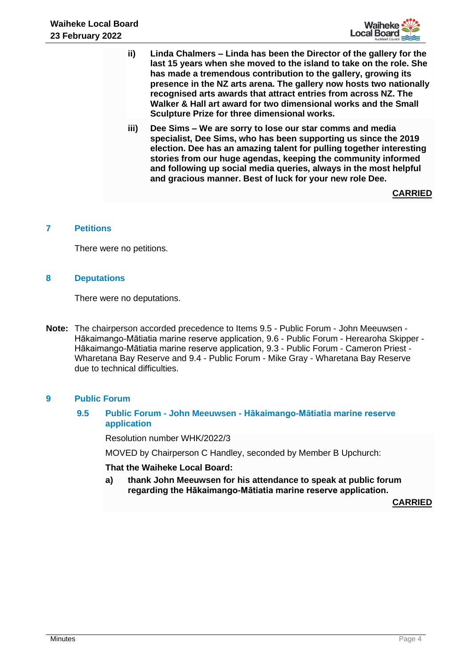

- **ii) Linda Chalmers – Linda has been the Director of the gallery for the last 15 years when she moved to the island to take on the role. She has made a tremendous contribution to the gallery, growing its presence in the NZ arts arena. The gallery now hosts two nationally recognised arts awards that attract entries from across NZ. The Walker & Hall art award for two dimensional works and the Small Sculpture Prize for three dimensional works.**
- **iii) Dee Sims – We are sorry to lose our star comms and media specialist, Dee Sims, who has been supporting us since the 2019 election. Dee has an amazing talent for pulling together interesting stories from our huge agendas, keeping the community informed and following up social media queries, always in the most helpful and gracious manner. Best of luck for your new role Dee.**

**CARRIED**

## **7 Petitions**

There were no petitions.

## **8 Deputations**

There were no deputations.

**Note:** The chairperson accorded precedence to Items 9.5 - Public Forum - John Meeuwsen - Hākaimango-Mātiatia marine reserve application, 9.6 - Public Forum - Herearoha Skipper - Hākaimango-Mātiatia marine reserve application, 9.3 - Public Forum - Cameron Priest - Wharetana Bay Reserve and 9.4 - Public Forum - Mike Gray - Wharetana Bay Reserve due to technical difficulties.

# **9 Public Forum**

# **9.5 Public Forum - John Meeuwsen - Hākaimango-Mātiatia marine reserve application**

Resolution number WHK/2022/3

MOVED by Chairperson C Handley, seconded by Member B Upchurch:

#### **That the Waiheke Local Board:**

**a) thank John Meeuwsen for his attendance to speak at public forum regarding the Hākaimango-Mātiatia marine reserve application.**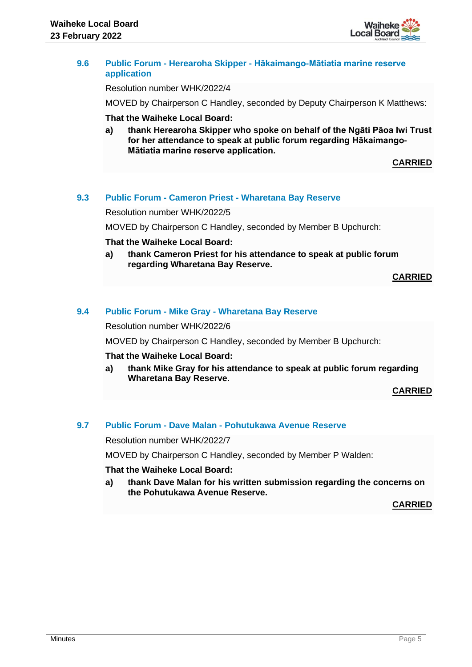

#### **9.6 Public Forum - Herearoha Skipper - Hākaimango-Mātiatia marine reserve application**

Resolution number WHK/2022/4

MOVED by Chairperson C Handley, seconded by Deputy Chairperson K Matthews:

#### **That the Waiheke Local Board:**

**a) thank Herearoha Skipper who spoke on behalf of the Ngāti Pāoa Iwi Trust for her attendance to speak at public forum regarding Hākaimango-Mātiatia marine reserve application.**

**CARRIED**

#### **9.3 Public Forum - Cameron Priest - Wharetana Bay Reserve**

Resolution number WHK/2022/5

MOVED by Chairperson C Handley, seconded by Member B Upchurch:

#### **That the Waiheke Local Board:**

**a) thank Cameron Priest for his attendance to speak at public forum regarding Wharetana Bay Reserve.**

**CARRIED**

#### **9.4 Public Forum - Mike Gray - Wharetana Bay Reserve**

Resolution number WHK/2022/6

MOVED by Chairperson C Handley, seconded by Member B Upchurch:

#### **That the Waiheke Local Board:**

**a) thank Mike Gray for his attendance to speak at public forum regarding Wharetana Bay Reserve.**

**CARRIED**

#### **9.7 Public Forum - Dave Malan - Pohutukawa Avenue Reserve**

Resolution number WHK/2022/7

MOVED by Chairperson C Handley, seconded by Member P Walden:

#### **That the Waiheke Local Board:**

**a) thank Dave Malan for his written submission regarding the concerns on the Pohutukawa Avenue Reserve.**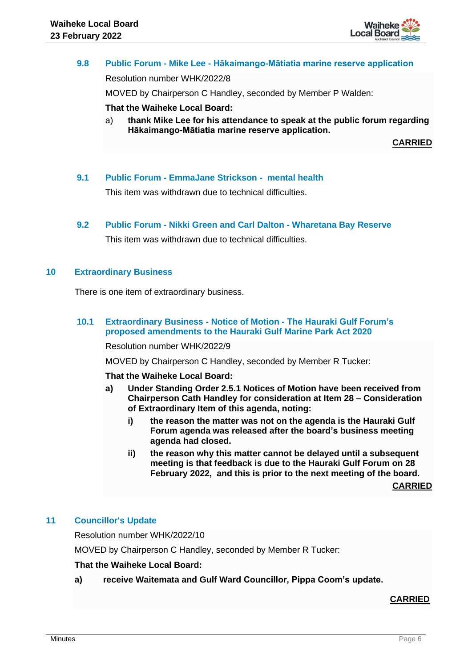

# **9.8 Public Forum - Mike Lee - Hākaimango-Mātiatia marine reserve application** Resolution number WHK/2022/8

MOVED by Chairperson C Handley, seconded by Member P Walden:

# **That the Waiheke Local Board:**

a) **thank Mike Lee for his attendance to speak at the public forum regarding Hākaimango-Mātiatia marine reserve application.**

**CARRIED**

## **9.1 Public Forum - EmmaJane Strickson - mental health**

This item was withdrawn due to technical difficulties.

#### **9.2 Public Forum - Nikki Green and Carl Dalton - Wharetana Bay Reserve**

This item was withdrawn due to technical difficulties.

## **10 Extraordinary Business**

There is one item of extraordinary business.

# **10.1 Extraordinary Business - Notice of Motion - The Hauraki Gulf Forum's proposed amendments to the Hauraki Gulf Marine Park Act 2020**

Resolution number WHK/2022/9

MOVED by Chairperson C Handley, seconded by Member R Tucker:

**That the Waiheke Local Board:**

- **a) Under Standing Order 2.5.1 Notices of Motion have been received from Chairperson Cath Handley for consideration at Item 28 – Consideration of Extraordinary Item of this agenda, noting:**
	- **i) the reason the matter was not on the agenda is the Hauraki Gulf Forum agenda was released after the board's business meeting agenda had closed.**
	- **ii) the reason why this matter cannot be delayed until a subsequent meeting is that feedback is due to the Hauraki Gulf Forum on 28 February 2022, and this is prior to the next meeting of the board.**

**CARRIED**

#### **11 Councillor's Update**

Resolution number WHK/2022/10

MOVED by Chairperson C Handley, seconded by Member R Tucker:

#### **That the Waiheke Local Board:**

**a) receive Waitemata and Gulf Ward Councillor, Pippa Coom's update.**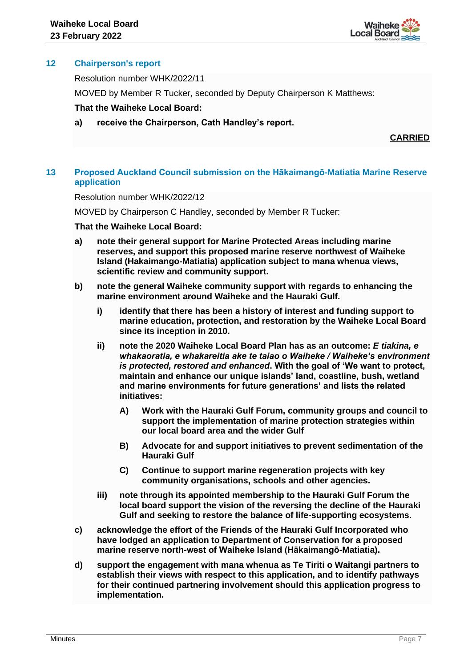

# **12 Chairperson's report**

Resolution number WHK/2022/11

MOVED by Member R Tucker, seconded by Deputy Chairperson K Matthews:

## **That the Waiheke Local Board:**

**a) receive the Chairperson, Cath Handley's report.**

**CARRIED**

# **13 Proposed Auckland Council submission on the Hākaimangō-Matiatia Marine Reserve application**

Resolution number WHK/2022/12

MOVED by Chairperson C Handley, seconded by Member R Tucker:

#### **That the Waiheke Local Board:**

- **a) note their general support for Marine Protected Areas including marine reserves, and support this proposed marine reserve northwest of Waiheke Island (Hakaimango-Matiatia) application subject to mana whenua views, scientific review and community support.**
- **b) note the general Waiheke community support with regards to enhancing the marine environment around Waiheke and the Hauraki Gulf.**
	- **i) identify that there has been a history of interest and funding support to marine education, protection, and restoration by the Waiheke Local Board since its inception in 2010.**
	- **ii) note the 2020 Waiheke Local Board Plan has as an outcome:** *E tiakina, e whakaoratia, e whakareitia ake te taiao o Waiheke / Waiheke's environment is protected, restored and enhanced***. With the goal of 'We want to protect, maintain and enhance our unique islands' land, coastline, bush, wetland and marine environments for future generations' and lists the related initiatives:**
		- **A) Work with the Hauraki Gulf Forum, community groups and council to support the implementation of marine protection strategies within our local board area and the wider Gulf**
		- **B) Advocate for and support initiatives to prevent sedimentation of the Hauraki Gulf**
		- **C) Continue to support marine regeneration projects with key community organisations, schools and other agencies.**
	- **iii) note through its appointed membership to the Hauraki Gulf Forum the local board support the vision of the reversing the decline of the Hauraki Gulf and seeking to restore the balance of life-supporting ecosystems.**
- **c) acknowledge the effort of the Friends of the Hauraki Gulf Incorporated who have lodged an application to Department of Conservation for a proposed marine reserve north-west of Waiheke Island (Hākaimangō-Matiatia).**
- **d) support the engagement with mana whenua as Te Tiriti o Waitangi partners to establish their views with respect to this application, and to identify pathways for their continued partnering involvement should this application progress to implementation.**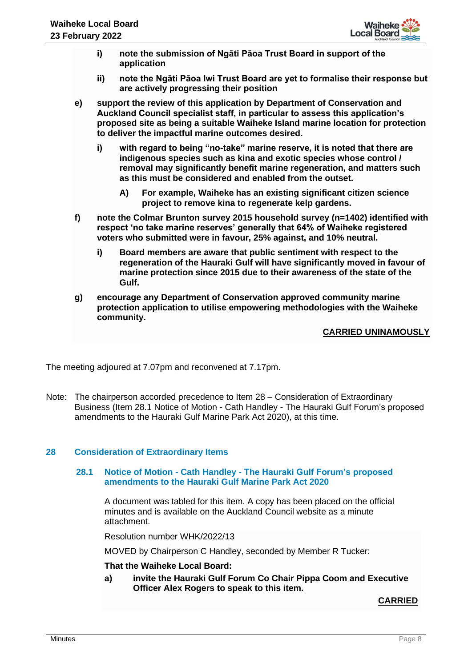

- **i) note the submission of Ngāti Pāoa Trust Board in support of the application**
- **ii) note the Ngāti Pāoa Iwi Trust Board are yet to formalise their response but are actively progressing their position**
- **e) support the review of this application by Department of Conservation and Auckland Council specialist staff, in particular to assess this application's proposed site as being a suitable Waiheke Island marine location for protection to deliver the impactful marine outcomes desired.**
	- **i) with regard to being "no-take" marine reserve, it is noted that there are indigenous species such as kina and exotic species whose control / removal may significantly benefit marine regeneration, and matters such as this must be considered and enabled from the outset.**
		- **A) For example, Waiheke has an existing significant citizen science project to remove kina to regenerate kelp gardens.**
- **f) note the Colmar Brunton survey 2015 household survey (n=1402) identified with respect 'no take marine reserves' generally that 64% of Waiheke registered voters who submitted were in favour, 25% against, and 10% neutral.**
	- **i) Board members are aware that public sentiment with respect to the regeneration of the Hauraki Gulf will have significantly moved in favour of marine protection since 2015 due to their awareness of the state of the Gulf.**
- **g) encourage any Department of Conservation approved community marine protection application to utilise empowering methodologies with the Waiheke community.**

# **CARRIED UNINAMOUSLY**

The meeting adjoured at 7.07pm and reconvened at 7.17pm.

Note: The chairperson accorded precedence to Item 28 – Consideration of Extraordinary Business (Item 28.1 Notice of Motion - Cath Handley - The Hauraki Gulf Forum's proposed amendments to the Hauraki Gulf Marine Park Act 2020), at this time.

# **28 Consideration of Extraordinary Items**

#### **28.1 Notice of Motion - Cath Handley - The Hauraki Gulf Forum's proposed amendments to the Hauraki Gulf Marine Park Act 2020**

A document was tabled for this item. A copy has been placed on the official minutes and is available on the Auckland Council website as a minute attachment.

Resolution number WHK/2022/13

MOVED by Chairperson C Handley, seconded by Member R Tucker:

#### **That the Waiheke Local Board:**

**a) invite the Hauraki Gulf Forum Co Chair Pippa Coom and Executive Officer Alex Rogers to speak to this item.**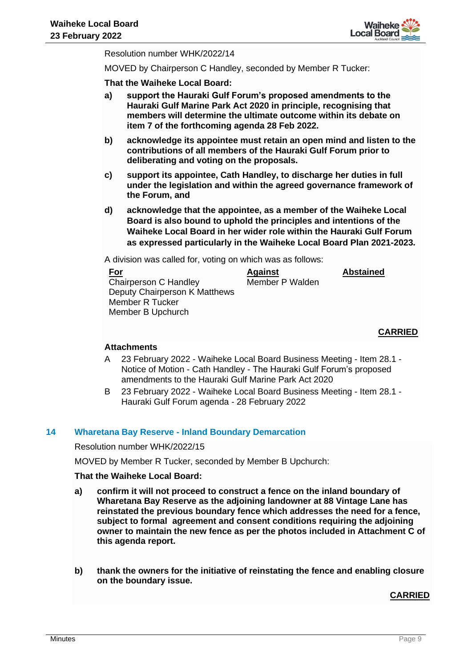

Resolution number WHK/2022/14

MOVED by Chairperson C Handley, seconded by Member R Tucker:

**That the Waiheke Local Board:**

- **a) support the Hauraki Gulf Forum's proposed amendments to the Hauraki Gulf Marine Park Act 2020 in principle, recognising that members will determine the ultimate outcome within its debate on item 7 of the forthcoming agenda 28 Feb 2022.**
- **b) acknowledge its appointee must retain an open mind and listen to the contributions of all members of the Hauraki Gulf Forum prior to deliberating and voting on the proposals.**
- **c) support its appointee, Cath Handley, to discharge her duties in full under the legislation and within the agreed governance framework of the Forum, and**
- **d) acknowledge that the appointee, as a member of the Waiheke Local Board is also bound to uphold the principles and intentions of the Waiheke Local Board in her wider role within the Hauraki Gulf Forum as expressed particularly in the Waiheke Local Board Plan 2021-2023.**

A division was called for, voting on which was as follows:

| <b>Abstained</b> |
|------------------|
| Member P Walden  |
|                  |
|                  |
|                  |
|                  |

**CARRIED**

#### **Attachments**

- A 23 February 2022 Waiheke Local Board Business Meeting Item 28.1 Notice of Motion - Cath Handley - The Hauraki Gulf Forum's proposed amendments to the Hauraki Gulf Marine Park Act 2020
- B 23 February 2022 Waiheke Local Board Business Meeting Item 28.1 Hauraki Gulf Forum agenda - 28 February 2022

#### **14 Wharetana Bay Reserve - Inland Boundary Demarcation**

Resolution number WHK/2022/15

MOVED by Member R Tucker, seconded by Member B Upchurch:

## **That the Waiheke Local Board:**

- **a) confirm it will not proceed to construct a fence on the inland boundary of Wharetana Bay Reserve as the adjoining landowner at 88 Vintage Lane has reinstated the previous boundary fence which addresses the need for a fence, subject to formal agreement and consent conditions requiring the adjoining owner to maintain the new fence as per the photos included in Attachment C of this agenda report.**
- **b) thank the owners for the initiative of reinstating the fence and enabling closure on the boundary issue.**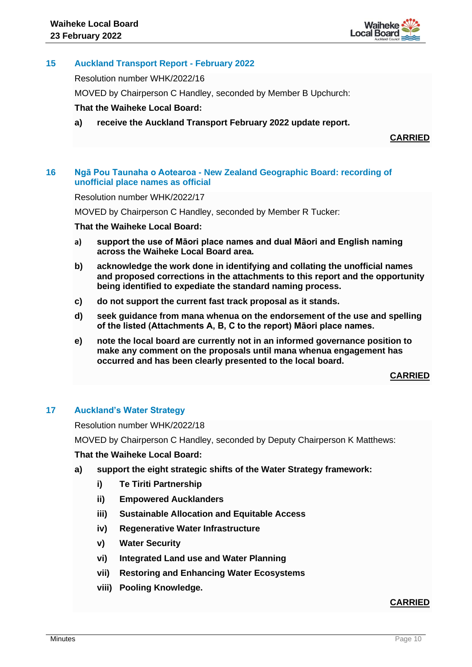

# **15 Auckland Transport Report - February 2022**

Resolution number WHK/2022/16

MOVED by Chairperson C Handley, seconded by Member B Upchurch:

# **That the Waiheke Local Board:**

**a) receive the Auckland Transport February 2022 update report.**

**CARRIED**

# **16 Ngā Pou Taunaha o Aotearoa - New Zealand Geographic Board: recording of unofficial place names as official**

Resolution number WHK/2022/17

MOVED by Chairperson C Handley, seconded by Member R Tucker:

## **That the Waiheke Local Board:**

- **a) support the use of Māori place names and dual Māori and English naming across the Waiheke Local Board area.**
- **b) acknowledge the work done in identifying and collating the unofficial names and proposed corrections in the attachments to this report and the opportunity being identified to expediate the standard naming process.**
- **c) do not support the current fast track proposal as it stands.**
- **d) seek guidance from mana whenua on the endorsement of the use and spelling of the listed (Attachments A, B, C to the report) Māori place names.**
- **e) note the local board are currently not in an informed governance position to make any comment on the proposals until mana whenua engagement has occurred and has been clearly presented to the local board.**

**CARRIED**

# **17 Auckland's Water Strategy**

Resolution number WHK/2022/18

MOVED by Chairperson C Handley, seconded by Deputy Chairperson K Matthews:

**That the Waiheke Local Board:**

- **a) support the eight strategic shifts of the Water Strategy framework:** 
	- **i) Te Tiriti Partnership**
	- **ii) Empowered Aucklanders**
	- **iii) Sustainable Allocation and Equitable Access**
	- **iv) Regenerative Water Infrastructure**
	- **v) Water Security**
	- **vi) Integrated Land use and Water Planning**
	- **vii) Restoring and Enhancing Water Ecosystems**
	- **viii) Pooling Knowledge.**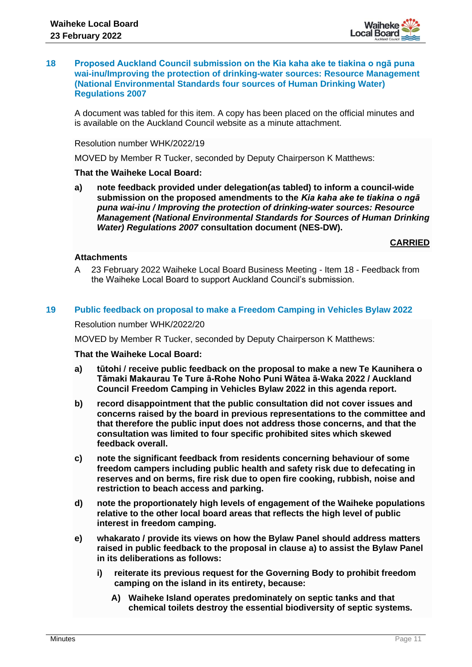

#### **18 Proposed Auckland Council submission on the Kia kaha ake te tiakina o ngā puna wai-inu/Improving the protection of drinking-water sources: Resource Management (National Environmental Standards four sources of Human Drinking Water) Regulations 2007**

A document was tabled for this item. A copy has been placed on the official minutes and is available on the Auckland Council website as a minute attachment.

### Resolution number WHK/2022/19

MOVED by Member R Tucker, seconded by Deputy Chairperson K Matthews:

## **That the Waiheke Local Board:**

**a) note feedback provided under delegation(as tabled) to inform a council-wide submission on the proposed amendments to the** *Kia kaha ake te tiakina o ngā puna wai-inu / Improving the protection of drinking-water sources: Resource Management (National Environmental Standards for Sources of Human Drinking Water) Regulations 2007* **consultation document (NES-DW).**

**CARRIED**

# **Attachments**

A 23 February 2022 Waiheke Local Board Business Meeting - Item 18 - Feedback from the Waiheke Local Board to support Auckland Council's submission.

## **19 Public feedback on proposal to make a Freedom Camping in Vehicles Bylaw 2022**

Resolution number WHK/2022/20

MOVED by Member R Tucker, seconded by Deputy Chairperson K Matthews:

#### **That the Waiheke Local Board:**

- **a) tūtohi / receive public feedback on the proposal to make a new Te Kaunihera o Tāmaki Makaurau Te Ture ā-Rohe Noho Puni Wātea ā-Waka 2022 / Auckland Council Freedom Camping in Vehicles Bylaw 2022 in this agenda report.**
- **b) record disappointment that the public consultation did not cover issues and concerns raised by the board in previous representations to the committee and that therefore the public input does not address those concerns, and that the consultation was limited to four specific prohibited sites which skewed feedback overall.**
- **c) note the significant feedback from residents concerning behaviour of some freedom campers including public health and safety risk due to defecating in reserves and on berms, fire risk due to open fire cooking, rubbish, noise and restriction to beach access and parking.**
- **d) note the proportionately high levels of engagement of the Waiheke populations relative to the other local board areas that reflects the high level of public interest in freedom camping.**
- **e) whakarato / provide its views on how the Bylaw Panel should address matters raised in public feedback to the proposal in clause a) to assist the Bylaw Panel in its deliberations as follows:**
	- **i) reiterate its previous request for the Governing Body to prohibit freedom camping on the island in its entirety, because:**
		- **A) Waiheke Island operates predominately on septic tanks and that chemical toilets destroy the essential biodiversity of septic systems.**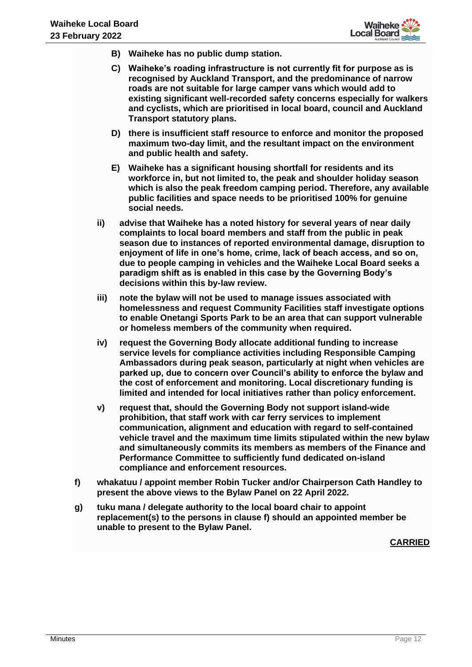

- **B) Waiheke has no public dump station.**
- **C) Waiheke's roading infrastructure is not currently fit for purpose as is recognised by Auckland Transport, and the predominance of narrow roads are not suitable for large camper vans which would add to existing significant well-recorded safety concerns especially for walkers and cyclists, which are prioritised in local board, council and Auckland Transport statutory plans.**
- **D) there is insufficient staff resource to enforce and monitor the proposed maximum two-day limit, and the resultant impact on the environment and public health and safety.**
- **E) Waiheke has a significant housing shortfall for residents and its workforce in, but not limited to, the peak and shoulder holiday season which is also the peak freedom camping period. Therefore, any available public facilities and space needs to be prioritised 100% for genuine social needs.**
- **ii) advise that Waiheke has a noted history for several years of near daily complaints to local board members and staff from the public in peak season due to instances of reported environmental damage, disruption to enjoyment of life in one's home, crime, lack of beach access, and so on, due to people camping in vehicles and the Waiheke Local Board seeks a paradigm shift as is enabled in this case by the Governing Body's decisions within this by-law review.**
- **iii) note the bylaw will not be used to manage issues associated with homelessness and request Community Facilities staff investigate options to enable Onetangi Sports Park to be an area that can support vulnerable or homeless members of the community when required.**
- **iv) request the Governing Body allocate additional funding to increase service levels for compliance activities including Responsible Camping Ambassadors during peak season, particularly at night when vehicles are parked up, due to concern over Council's ability to enforce the bylaw and the cost of enforcement and monitoring. Local discretionary funding is limited and intended for local initiatives rather than policy enforcement.**
- **v) request that, should the Governing Body not support island-wide prohibition, that staff work with car ferry services to implement communication, alignment and education with regard to self-contained vehicle travel and the maximum time limits stipulated within the new bylaw and simultaneously commits its members as members of the Finance and Performance Committee to sufficiently fund dedicated on-island compliance and enforcement resources.**
- **f) whakatuu / appoint member Robin Tucker and/or Chairperson Cath Handley to present the above views to the Bylaw Panel on 22 April 2022.**
- **g) tuku mana / delegate authority to the local board chair to appoint replacement(s) to the persons in clause f) should an appointed member be unable to present to the Bylaw Panel.**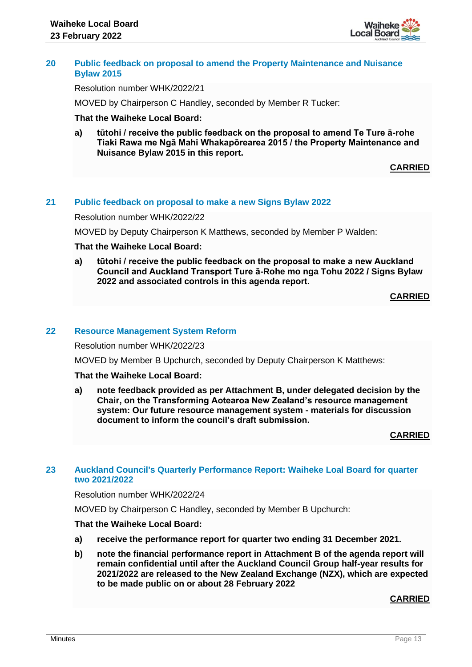

#### **20 Public feedback on proposal to amend the Property Maintenance and Nuisance Bylaw 2015**

Resolution number WHK/2022/21

MOVED by Chairperson C Handley, seconded by Member R Tucker:

#### **That the Waiheke Local Board:**

**a) tūtohi / receive the public feedback on the proposal to amend Te Ture ā-rohe Tiaki Rawa me Ngā Mahi Whakapōrearea 2015 / the Property Maintenance and Nuisance Bylaw 2015 in this report.**

**CARRIED**

#### **21 Public feedback on proposal to make a new Signs Bylaw 2022**

Resolution number WHK/2022/22

MOVED by Deputy Chairperson K Matthews, seconded by Member P Walden:

#### **That the Waiheke Local Board:**

**a) tūtohi / receive the public feedback on the proposal to make a new Auckland Council and Auckland Transport Ture ā-Rohe mo nga Tohu 2022 / Signs Bylaw 2022 and associated controls in this agenda report.** 

## **CARRIED**

#### **22 Resource Management System Reform**

Resolution number WHK/2022/23

MOVED by Member B Upchurch, seconded by Deputy Chairperson K Matthews:

#### **That the Waiheke Local Board:**

**a) note feedback provided as per Attachment B, under delegated decision by the Chair, on the Transforming Aotearoa New Zealand's resource management system: Our future resource management system - materials for discussion document to inform the council's draft submission.**

#### **CARRIED**

## **23 Auckland Council's Quarterly Performance Report: Waiheke Loal Board for quarter two 2021/2022**

#### Resolution number WHK/2022/24

MOVED by Chairperson C Handley, seconded by Member B Upchurch:

#### **That the Waiheke Local Board:**

- **a) receive the performance report for quarter two ending 31 December 2021.**
- **b) note the financial performance report in Attachment B of the agenda report will remain confidential until after the Auckland Council Group half-year results for 2021/2022 are released to the New Zealand Exchange (NZX), which are expected to be made public on or about 28 February 2022**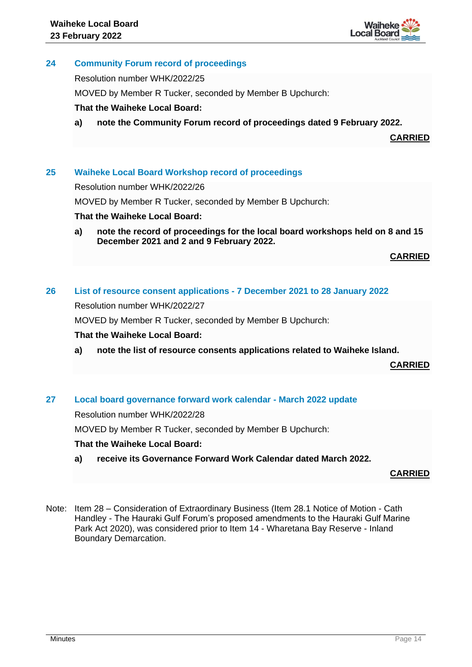

# **24 Community Forum record of proceedings**

Resolution number WHK/2022/25

MOVED by Member R Tucker, seconded by Member B Upchurch:

# **That the Waiheke Local Board:**

**a) note the Community Forum record of proceedings dated 9 February 2022.**

**CARRIED**

## **25 Waiheke Local Board Workshop record of proceedings**

Resolution number WHK/2022/26

MOVED by Member R Tucker, seconded by Member B Upchurch:

## **That the Waiheke Local Board:**

**a) note the record of proceedings for the local board workshops held on 8 and 15 December 2021 and 2 and 9 February 2022.** 

**CARRIED**

# **26 List of resource consent applications - 7 December 2021 to 28 January 2022**

Resolution number WHK/2022/27

MOVED by Member R Tucker, seconded by Member B Upchurch:

# **That the Waiheke Local Board:**

**a) note the list of resource consents applications related to Waiheke Island.** 

**CARRIED**

# **27 Local board governance forward work calendar - March 2022 update**

Resolution number WHK/2022/28

MOVED by Member R Tucker, seconded by Member B Upchurch:

# **That the Waiheke Local Board:**

**a) receive its Governance Forward Work Calendar dated March 2022.**

**CARRIED**

Note: Item 28 – Consideration of Extraordinary Business (Item 28.1 Notice of Motion - Cath Handley - The Hauraki Gulf Forum's proposed amendments to the Hauraki Gulf Marine Park Act 2020), was considered prior to Item 14 - Wharetana Bay Reserve - Inland Boundary Demarcation.